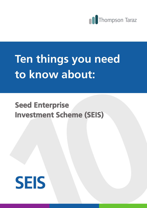

### **Ten things you need to know about:**

prise<br>Cheme (SEIS)<br>**Cheme (SEIS) Seed Enterprise Investment Scheme (SEIS)**

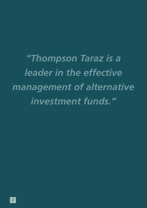*"Thompson Taraz is a leader in the effective management of alternative investment funds."*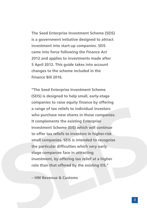The Seed Enterprise Investment Scheme (SEIS)<br>
is a government initiative designed to attact<br>
investment into start-up companies. SEIS<br>
came into force following the Finance Act<br>
2012 and applies to investments made after<br>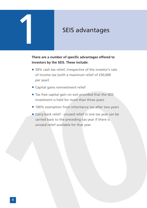# 1 SEIS advantages

### **There are a number of specific advantages offered to investors by the SEIS. These include:**

- 50% cash tax relief, irrespective of the investor's rate of income tax (with a maximum relief of £50,000 per year)
- Capital gains reinvestment relief
- Tax free capital gain on exit provided that the SEIS investment is held for more than three years
- 100% exemption from inheritance tax after two years
- Capital gains reinvestment relief<br>
 Tax free capital gain on exit provided that the SEIS<br>
investment is held for more than three years<br>
 100% exemption from inheritance tax after two years<br>
 Carry back relief unuse • Carry back relief - unused relief in one tax year can be carried back to the preceding tax year if there is unused relief available for that year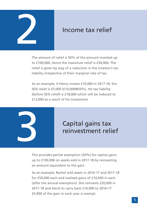

### Income tax relief

The amount of relief is 50% of the amount invested up to £100,000, hence the maximum relief is £50,000. The relief is given by way of a reduction in the investor's tax liability irrespective of their marginal rate of tax.

As an example, if Henry invests £10,000 in 2017-18, the SEIS relief is £5,000 (£10,000@50%). His tax liability (before SEIS relief) is £18,000 which will be reduced to £13,000 as a result of his investment.



### Capital gains tax reinvestment relief

This provides partial exemption (50%) for capital gains up to £100,000 on assets sold in 2017-18 by reinvesting an amount equivalent to the gain.

As an example, Rachel sold assets in 2016-17 and 2017-18 for £50,000 each and realised gains of £10,000 in each (after the annual exemption). She reinvests £20,000 in 2017-18 and elects to carry back £10,000 to 2016-17 £5,000 of the gain in each year is exempt.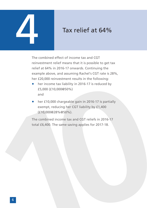## Tax relief at 64%

The combined effect of income tax and CGT reinvestment relief means that it is possible to get tax relief at 64% in 2016-17 onwards. Continuing the example above, and assuming Rachel's CGT rate is 28%, her £20,000 reinvestment results in the following:

- her income tax liability in 2016-17 is reduced by £5,000 (£10,000@50%) and
- her income tax liability in 2016-17 is reduced by<br>  $E_5(00)$  ( $E(10,0000650\%)$ <br>
and<br>
 her  $E(10,000$  chargeable gain in 2016-17 is partially<br>
exempt, reducing her CGT liability by  $E1,400$ <br>  $(E10,000028\%050\%)$ .<br>
The co • her £10,000 chargeable gain in 2016-17 is partially exempt, reducing her CGT liability by £1,400 (£10,000@28%@50%).

The combined income tax and CGT reliefs in 2016-17 total £6,400. The same saving applies for 2017-18.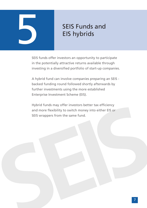

SEIS Funds and<br>EIS hybrids<br>SES funds offer investors an opportunity to participate<br>in the potentially attactive returns available through<br>investing in a diversified portfolio of start-up companies.<br>A hybrid fund can involv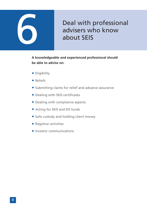

### Deal with professional<br>advisers who know<br>about SEIS advisers who know about SEIS

**A knowledgeable and experienced professional should be able to advise on:**

- Eligibility
- Reliefs
- Submitting claims for relief and advance assurance
- Dealing with SEIS certificates
- Dealing with compliance aspects
- Acting for SEIS and EIS funds
- Safe custody and holding client money
- Registrar activities
- **•** Investor communications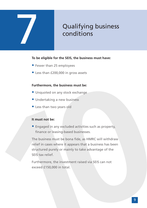# **2 Qualifying business**<br>conditions

## conditions

### **To be eligible for the SEIS, the business must have:**

- Fewer than 25 employees
- Less than £200,000 in gross assets

### **Furthermore, the business must be:**

- Unquoted on any stock exchange
- Undertaking a new business
- Less than two years old

### **It must not be:**

• Engaged in any excluded activities such as property, finance or leasing-based businesses.

**Furthermore, the business must be:**<br>
• Unquoted on any stock exchange<br>
• Undertaking a new business<br>
• Less than two years old<br> **It must not be:**<br>
• Engaged in any excluded activities such as property,<br>
finance or leasing The business must be bona fide, as HMRC will withdraw relief in cases where it appears that a business has been structured purely or mainly to take advantage of the SEIS tax relief.

Furthermore, the investment raised via SEIS can not exceed £150,000 in total.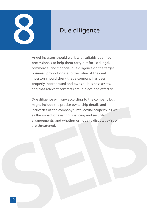

Angel investors should work with suitably qualified professionals to help them carry out focused legal, commercial and financial due diligence on the target business, proportionate to the value of the deal. Investors should check that a company has been properly incorporated and owns all business assets, and that relevant contracts are in place and effective.

might include the precise ownership details and<br>intricates of the company's intellectual property, as well<br>as the impact of existing financing and security<br>arrangements, and whether or not any disputes exist or<br>are threate Due diligence will vary according to the company but might include the precise ownership details and intricacies of the company's intellectual property, as well as the impact of existing financing and security arrangements, and whether or not any disputes exist or are threatened.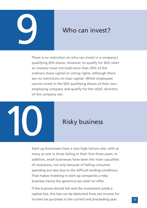

### Who can invest?

There is no restriction on who can invest in a company's qualifying SEIS shares. However, to qualify for SEIS relief an investor must not hold more than 30% of the ordinary share capital or voting rights, although there are no restrictions on loan capital. Whilst employees cannot invest in the SEIS qualifying shares of their own employing company and qualify for the relief, directors of the company can.



Start-up businesses have a very high failure rate, with as many as one in three failing in their first three years. In addition, small businesses have been the main casualties of recessions; not only because of falling consumer spending but also due to the difficult lending conditions. That makes investing in start-up companies a risky business; hence the generous tax relief on offer.

If the business should fail and the investment yields a capital loss, this loss can be deducted from net income for income tax purposes in the current and preceeding year.